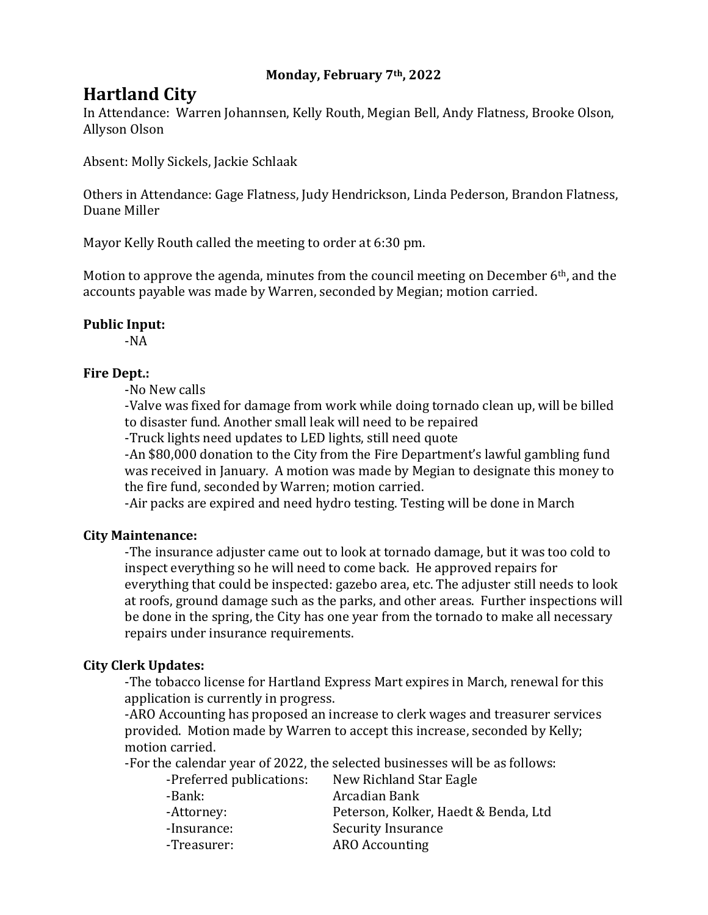## **Monday, February 7th, 2022**

# **Hartland City**

In Attendance: Warren Johannsen, Kelly Routh, Megian Bell, Andy Flatness, Brooke Olson, Allyson Olson

Absent: Molly Sickels, Jackie Schlaak

Others in Attendance: Gage Flatness, Judy Hendrickson, Linda Pederson, Brandon Flatness, Duane Miller

Mayor Kelly Routh called the meeting to order at 6:30 pm.

Motion to approve the agenda, minutes from the council meeting on December 6<sup>th</sup>, and the accounts payable was made by Warren, seconded by Megian; motion carried.

#### **Public Input:**

-NA

## **Fire Dept.:**

-No New calls

-Valve was fixed for damage from work while doing tornado clean up, will be billed to disaster fund. Another small leak will need to be repaired

-Truck lights need updates to LED lights, still need quote

-An \$80,000 donation to the City from the Fire Department's lawful gambling fund was received in January. A motion was made by Megian to designate this money to the fire fund, seconded by Warren; motion carried.

-Air packs are expired and need hydro testing. Testing will be done in March

#### **City Maintenance:**

-The insurance adjuster came out to look at tornado damage, but it was too cold to inspect everything so he will need to come back. He approved repairs for everything that could be inspected: gazebo area, etc. The adjuster still needs to look at roofs, ground damage such as the parks, and other areas. Further inspections will be done in the spring, the City has one year from the tornado to make all necessary repairs under insurance requirements.

## **City Clerk Updates:**

-The tobacco license for Hartland Express Mart expires in March, renewal for this application is currently in progress.

-ARO Accounting has proposed an increase to clerk wages and treasurer services provided. Motion made by Warren to accept this increase, seconded by Kelly; motion carried.

-For the calendar year of 2022, the selected businesses will be as follows:

| -Preferred publications: | New Richland Star Eagle              |
|--------------------------|--------------------------------------|
| -Bank:                   | Arcadian Bank                        |
| -Attorney:               | Peterson, Kolker, Haedt & Benda, Ltd |
| -Insurance:              | <b>Security Insurance</b>            |
| -Treasurer:              | <b>ARO</b> Accounting                |